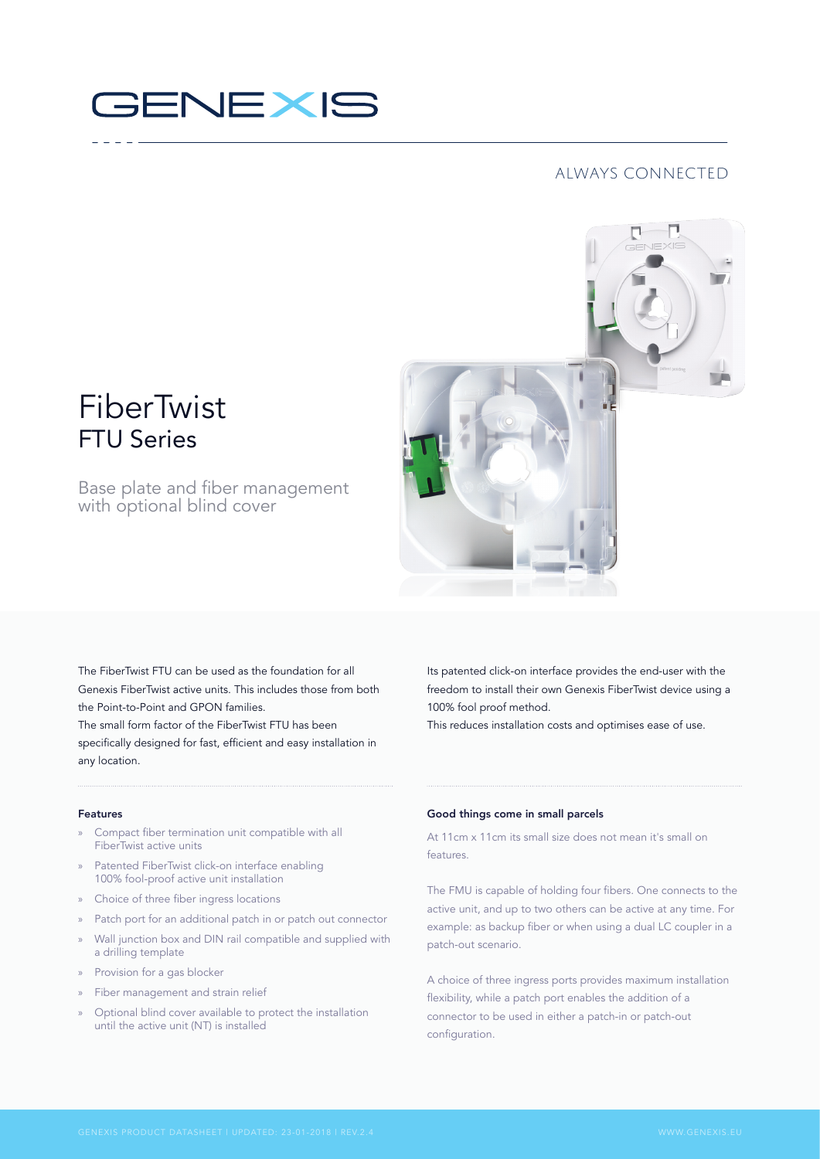# **GENEXIS**

# always connected



# FiberTwist FTU Series

# Base plate and fiber management with optional blind cover

The FiberTwist FTU can be used as the foundation for all Genexis FiberTwist active units. This includes those from both the Point-to-Point and GPON families. The small form factor of the FiberTwist FTU has been specifically designed for fast, efficient and easy installation in any location.

Its patented click-on interface provides the end-user with the freedom to install their own Genexis FiberTwist device using a 100% fool proof method.

This reduces installation costs and optimises ease of use.

#### Features

- » Compact fiber termination unit compatible with all FiberTwist active units
- » Patented FiberTwist click-on interface enabling 100% fool‑proof active unit installation
- » Choice of three fiber ingress locations
- Patch port for an additional patch in or patch out connector
- » Wall junction box and DIN rail compatible and supplied with a drilling template
- » Provision for a gas blocker
- » Fiber management and strain relief
- » Optional blind cover available to protect the installation until the active unit (NT) is installed

# Good things come in small parcels

At 11cm x 11cm its small size does not mean it's small on features.

The FMU is capable of holding four fibers. One connects to the active unit, and up to two others can be active at any time. For example: as backup fiber or when using a dual LC coupler in a patch-out scenario.

A choice of three ingress ports provides maximum installation flexibility, while a patch port enables the addition of a connector to be used in either a patch-in or patch-out configuration.